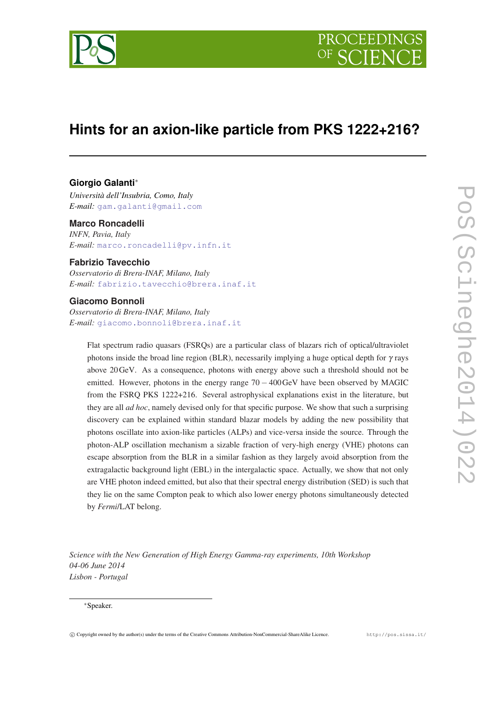

# **Hints for an axion-like particle from PKS 1222+216?**

# **Giorgio Galanti**<sup>∗</sup>

*Università dell'Insubria, Como, Italy E-mail:* [gam.galanti@gmail.com](mailto:gam.galanti@gmail.com)

## **Marco Roncadelli**

*INFN, Pavia, Italy E-mail:* [marco.roncadelli@pv.infn.it](mailto:marco.roncadelli@pv.infn.it)

# **Fabrizio Tavecchio**

*Osservatorio di Brera-INAF, Milano, Italy E-mail:* [fabrizio.tavecchio@brera.inaf.it](mailto:fabrizio.tavecchio@brera.inaf.it)

# **Giacomo Bonnoli**

*Osservatorio di Brera-INAF, Milano, Italy E-mail:* [giacomo.bonnoli@brera.inaf.it](mailto:giacomo.bonnoli@brera.inaf.it)

> Flat spectrum radio quasars (FSRQs) are a particular class of blazars rich of optical/ultraviolet photons inside the broad line region (BLR), necessarily implying a huge optical depth for  $\gamma$  rays above 20GeV. As a consequence, photons with energy above such a threshold should not be emitted. However, photons in the energy range  $70 - 400 \text{GeV}$  have been observed by MAGIC from the FSRQ PKS 1222+216. Several astrophysical explanations exist in the literature, but they are all *ad hoc*, namely devised only for that specific purpose. We show that such a surprising discovery can be explained within standard blazar models by adding the new possibility that photons oscillate into axion-like particles (ALPs) and vice-versa inside the source. Through the photon-ALP oscillation mechanism a sizable fraction of very-high energy (VHE) photons can escape absorption from the BLR in a similar fashion as they largely avoid absorption from the extragalactic background light (EBL) in the intergalactic space. Actually, we show that not only are VHE photon indeed emitted, but also that their spectral energy distribution (SED) is such that they lie on the same Compton peak to which also lower energy photons simultaneously detected by *Fermi*/LAT belong.

*Science with the New Generation of High Energy Gamma-ray experiments, 10th Workshop 04-06 June 2014 Lisbon - Portugal*

#### <sup>∗</sup>Speaker.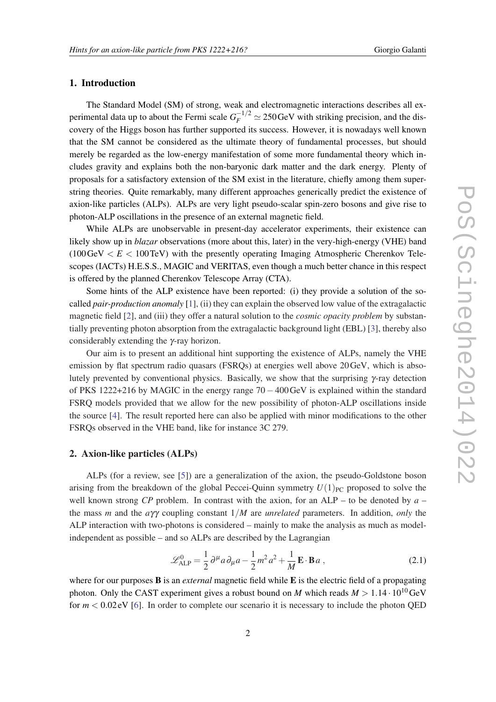# <span id="page-1-0"></span>1. Introduction

The Standard Model (SM) of strong, weak and electromagnetic interactions describes all experimental data up to about the Fermi scale  $G_F^{-1/2} \simeq 250 \,\text{GeV}$  with striking precision, and the discovery of the Higgs boson has further supported its success. However, it is nowadays well known that the SM cannot be considered as the ultimate theory of fundamental processes, but should merely be regarded as the low-energy manifestation of some more fundamental theory which includes gravity and explains both the non-baryonic dark matter and the dark energy. Plenty of proposals for a satisfactory extension of the SM exist in the literature, chiefly among them superstring theories. Quite remarkably, many different approaches generically predict the existence of axion-like particles (ALPs). ALPs are very light pseudo-scalar spin-zero bosons and give rise to photon-ALP oscillations in the presence of an external magnetic field.

While ALPs are unobservable in present-day accelerator experiments, their existence can likely show up in *blazar* observations (more about this, later) in the very-high-energy (VHE) band  $(100 \text{GeV} < E < 100 \text{TeV})$  with the presently operating Imaging Atmospheric Cherenkov Telescopes (IACTs) H.E.S.S., MAGIC and VERITAS, even though a much better chance in this respect is offered by the planned Cherenkov Telescope Array (CTA).

Some hints of the ALP existence have been reported: (i) they provide a solution of the socalled *pair-production anomaly* [\[1\]](#page-5-0), (ii) they can explain the observed low value of the extragalactic magnetic field [[2](#page-5-0)], and (iii) they offer a natural solution to the *cosmic opacity problem* by substantially preventing photon absorption from the extragalactic background light (EBL) [\[3](#page-5-0)], thereby also considerably extending the γ-ray horizon.

Our aim is to present an additional hint supporting the existence of ALPs, namely the VHE emission by flat spectrum radio quasars (FSRQs) at energies well above 20GeV, which is absolutely prevented by conventional physics. Basically, we show that the surprising  $\gamma$ -ray detection of PKS 1222+216 by MAGIC in the energy range 70−400GeV is explained within the standard FSRQ models provided that we allow for the new possibility of photon-ALP oscillations inside the source [[4](#page-5-0)]. The result reported here can also be applied with minor modifications to the other FSRQs observed in the VHE band, like for instance 3C 279.

## 2. Axion-like particles (ALPs)

ALPs (for a review, see [\[5\]](#page-5-0)) are a generalization of the axion, the pseudo-Goldstone boson arising from the breakdown of the global Peccei-Quinn symmetry  $U(1)_{PC}$  proposed to solve the well known strong *CP* problem. In contrast with the axion, for an ALP – to be denoted by *a* – the mass *m* and the *a*γγ coupling constant 1/*M* are *unrelated* parameters. In addition, *only* the ALP interaction with two-photons is considered – mainly to make the analysis as much as modelindependent as possible – and so ALPs are described by the Lagrangian

$$
\mathcal{L}_{ALP}^0 = \frac{1}{2} \partial^\mu a \partial_\mu a - \frac{1}{2} m^2 a^2 + \frac{1}{M} \mathbf{E} \cdot \mathbf{B} a , \qquad (2.1)
$$

where for our purposes B is an *external* magnetic field while E is the electric field of a propagating photon. Only the CAST experiment gives a robust bound on *M* which reads  $M > 1.14 \cdot 10^{10}$  GeV for *m* < 0.02 eV [[6](#page-5-0)]. In order to complete our scenario it is necessary to include the photon QED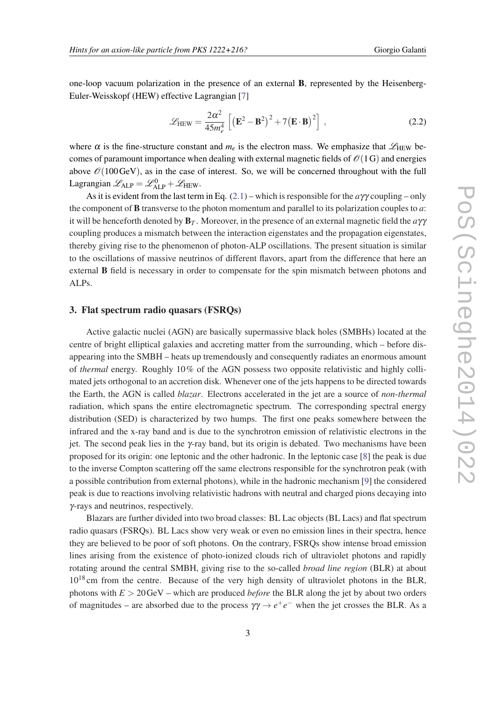one-loop vacuum polarization in the presence of an external B, represented by the Heisenberg-Euler-Weisskopf (HEW) effective Lagrangian [[7](#page-5-0)]

$$
\mathcal{L}_{\text{HEW}} = \frac{2\alpha^2}{45m_e^4} \left[ \left( \mathbf{E}^2 - \mathbf{B}^2 \right)^2 + 7 \left( \mathbf{E} \cdot \mathbf{B} \right)^2 \right] \,, \tag{2.2}
$$

where  $\alpha$  is the fine-structure constant and  $m_e$  is the electron mass. We emphasize that  $\mathscr{L}_{\text{HEW}}$  becomes of paramount importance when dealing with external magnetic fields of  $\mathcal{O}(1)$  and energies above  $\mathcal{O}(100 \text{GeV})$ , as in the case of interest. So, we will be concerned throughout with the full Lagrangian  $\mathscr{L}_{ALP} = \mathscr{L}_{ALP}^0 + \mathscr{L}_{HEW}$ .

As it is evident from the last term in Eq. [\(2.1](#page-1-0)) – which is responsible for the *a*γγ coupling – only the component of B transverse to the photon momentum and parallel to its polarization couples to *a*: it will be henceforth denoted by B*<sup>T</sup>* . Moreover, in the presence of an external magnetic field the *a*γγ coupling produces a mismatch between the interaction eigenstates and the propagation eigenstates, thereby giving rise to the phenomenon of photon-ALP oscillations. The present situation is similar to the oscillations of massive neutrinos of different flavors, apart from the difference that here an external B field is necessary in order to compensate for the spin mismatch between photons and ALPs.

### 3. Flat spectrum radio quasars (FSRQs)

Active galactic nuclei (AGN) are basically supermassive black holes (SMBHs) located at the centre of bright elliptical galaxies and accreting matter from the surrounding, which – before disappearing into the SMBH – heats up tremendously and consequently radiates an enormous amount of *thermal* energy. Roughly 10% of the AGN possess two opposite relativistic and highly collimated jets orthogonal to an accretion disk. Whenever one of the jets happens to be directed towards the Earth, the AGN is called *blazar*. Electrons accelerated in the jet are a source of *non-thermal* radiation, which spans the entire electromagnetic spectrum. The corresponding spectral energy distribution (SED) is characterized by two humps. The first one peaks somewhere between the infrared and the x-ray band and is due to the synchrotron emission of relativistic electrons in the jet. The second peak lies in the γ-ray band, but its origin is debated. Two mechanisms have been proposed for its origin: one leptonic and the other hadronic. In the leptonic case [[8](#page-5-0)] the peak is due to the inverse Compton scattering off the same electrons responsible for the synchrotron peak (with a possible contribution from external photons), while in the hadronic mechanism [[9](#page-5-0)] the considered peak is due to reactions involving relativistic hadrons with neutral and charged pions decaying into γ-rays and neutrinos, respectively.

Blazars are further divided into two broad classes: BL Lac objects (BL Lacs) and flat spectrum radio quasars (FSRQs). BL Lacs show very weak or even no emission lines in their spectra, hence they are believed to be poor of soft photons. On the contrary, FSRQs show intense broad emission lines arising from the existence of photo-ionized clouds rich of ultraviolet photons and rapidly rotating around the central SMBH, giving rise to the so-called *broad line region* (BLR) at about  $10^{18}$  cm from the centre. Because of the very high density of ultraviolet photons in the BLR, photons with *E* > 20GeV – which are produced *before* the BLR along the jet by about two orders of magnitudes – are absorbed due to the process  $\gamma \gamma \rightarrow e^+e^-$  when the jet crosses the BLR. As a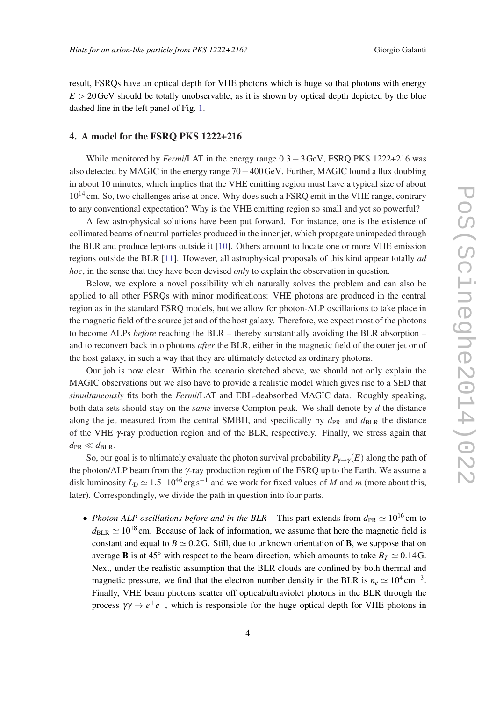result, FSRQs have an optical depth for VHE photons which is huge so that photons with energy  $E > 20$  GeV should be totally unobservable, as it is shown by optical depth depicted by the blue dashed line in the left panel of Fig. [1.](#page-5-0)

# 4. A model for the FSRQ PKS 1222+216

While monitored by *Fermi*/LAT in the energy range 0.3−3GeV, FSRQ PKS 1222+216 was also detected by MAGIC in the energy range 70−400GeV. Further, MAGIC found a flux doubling in about 10 minutes, which implies that the VHE emitting region must have a typical size of about  $10^{14}$  cm. So, two challenges arise at once. Why does such a FSRQ emit in the VHE range, contrary to any conventional expectation? Why is the VHE emitting region so small and yet so powerful?

A few astrophysical solutions have been put forward. For instance, one is the existence of collimated beams of neutral particles produced in the inner jet, which propagate unimpeded through the BLR and produce leptons outside it [\[10](#page-5-0)]. Others amount to locate one or more VHE emission regions outside the BLR [[11\]](#page-5-0). However, all astrophysical proposals of this kind appear totally *ad hoc*, in the sense that they have been devised *only* to explain the observation in question.

Below, we explore a novel possibility which naturally solves the problem and can also be applied to all other FSRQs with minor modifications: VHE photons are produced in the central region as in the standard FSRQ models, but we allow for photon-ALP oscillations to take place in the magnetic field of the source jet and of the host galaxy. Therefore, we expect most of the photons to become ALPs *before* reaching the BLR – thereby substantially avoiding the BLR absorption – and to reconvert back into photons *after* the BLR, either in the magnetic field of the outer jet or of the host galaxy, in such a way that they are ultimately detected as ordinary photons.

Our job is now clear. Within the scenario sketched above, we should not only explain the MAGIC observations but we also have to provide a realistic model which gives rise to a SED that *simultaneously* fits both the *Fermi*/LAT and EBL-deabsorbed MAGIC data. Roughly speaking, both data sets should stay on the *same* inverse Compton peak. We shall denote by *d* the distance along the jet measured from the central SMBH, and specifically by  $d_{PR}$  and  $d_{BLR}$  the distance of the VHE γ-ray production region and of the BLR, respectively. Finally, we stress again that  $d_{PR} \ll d_{BLR}$ .

So, our goal is to ultimately evaluate the photon survival probability  $P_{\gamma \to \gamma}(E)$  along the path of the photon/ALP beam from the γ-ray production region of the FSRQ up to the Earth. We assume a disk luminosity  $L_D \simeq 1.5 \cdot 10^{46} \text{ erg s}^{-1}$  and we work for fixed values of *M* and *m* (more about this, later). Correspondingly, we divide the path in question into four parts.

• *Photon-ALP oscillations before and in the BLR* – This part extends from  $d_{PR} \simeq 10^{16}$  cm to  $d_{BLR} \simeq 10^{18}$  cm. Because of lack of information, we assume that here the magnetic field is constant and equal to  $B \simeq 0.2$  G. Still, due to unknown orientation of **B**, we suppose that on average **B** is at 45<sup>°</sup> with respect to the beam direction, which amounts to take  $B_T \simeq 0.14$  G. Next, under the realistic assumption that the BLR clouds are confined by both thermal and magnetic pressure, we find that the electron number density in the BLR is  $n_e \simeq 10^4 \text{ cm}^{-3}$ . Finally, VHE beam photons scatter off optical/ultraviolet photons in the BLR through the process  $\gamma\gamma \rightarrow e^+e^-$ , which is responsible for the huge optical depth for VHE photons in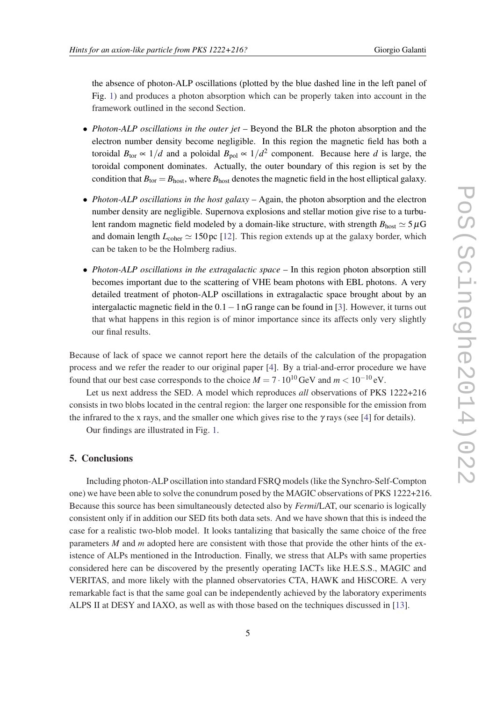the absence of photon-ALP oscillations (plotted by the blue dashed line in the left panel of Fig. [1\)](#page-5-0) and produces a photon absorption which can be properly taken into account in the framework outlined in the second Section.

- *Photon-ALP oscillations in the outer jet* Beyond the BLR the photon absorption and the electron number density become negligible. In this region the magnetic field has both a toroidal  $B_{\text{tor}} \propto 1/d$  and a poloidal  $B_{\text{pol}} \propto 1/d^2$  component. Because here *d* is large, the toroidal component dominates. Actually, the outer boundary of this region is set by the condition that  $B_{\text{tor}} = B_{\text{host}}$ , where  $B_{\text{host}}$  denotes the magnetic field in the host elliptical galaxy.
- *Photon-ALP oscillations in the host galaxy* Again, the photon absorption and the electron number density are negligible. Supernova explosions and stellar motion give rise to a turbulent random magnetic field modeled by a domain-like structure, with strength  $B_{\text{host}} \simeq 5 \,\mu\text{G}$ and domain length  $L_{\text{coher}} \simeq 150 \,\text{pc}$  [[12\]](#page-5-0). This region extends up at the galaxy border, which can be taken to be the Holmberg radius.
- *Photon-ALP oscillations in the extragalactic space* In this region photon absorption still becomes important due to the scattering of VHE beam photons with EBL photons. A very detailed treatment of photon-ALP oscillations in extragalactic space brought about by an intergalactic magnetic field in the  $0.1-1$  nG range can be found in [[3](#page-5-0)]. However, it turns out that what happens in this region is of minor importance since its affects only very slightly our final results.

Because of lack of space we cannot report here the details of the calculation of the propagation process and we refer the reader to our original paper [\[4](#page-5-0)]. By a trial-and-error procedure we have found that our best case corresponds to the choice  $M = 7 \cdot 10^{10} \text{ GeV}$  and  $m < 10^{-10} \text{ eV}$ .

Let us next address the SED. A model which reproduces *all* observations of PKS 1222+216 consists in two blobs located in the central region: the larger one responsible for the emission from the infrared to the x rays, and the smaller one which gives rise to the  $\gamma$  rays (see [[4](#page-5-0)] for details).

Our findings are illustrated in Fig. [1](#page-5-0).

### 5. Conclusions

Including photon-ALP oscillation into standard FSRQ models (like the Synchro-Self-Compton one) we have been able to solve the conundrum posed by the MAGIC observations of PKS 1222+216. Because this source has been simultaneously detected also by *Fermi*/LAT, our scenario is logically consistent only if in addition our SED fits both data sets. And we have shown that this is indeed the case for a realistic two-blob model. It looks tantalizing that basically the same choice of the free parameters *M* and *m* adopted here are consistent with those that provide the other hints of the existence of ALPs mentioned in the Introduction. Finally, we stress that ALPs with same properties considered here can be discovered by the presently operating IACTs like H.E.S.S., MAGIC and VERITAS, and more likely with the planned observatories CTA, HAWK and HiSCORE. A very remarkable fact is that the same goal can be independently achieved by the laboratory experiments ALPS II at DESY and IAXO, as well as with those based on the techniques discussed in [[13\]](#page-5-0).